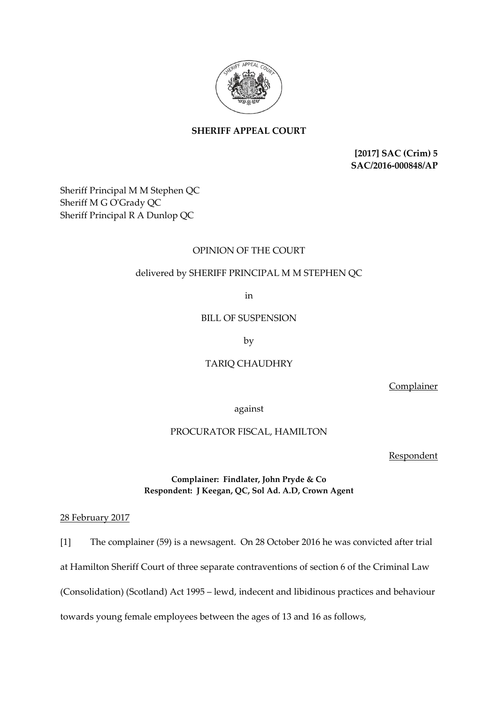

# **SHERIFF APPEAL COURT**

**[2017] SAC (Crim) 5 SAC/2016-000848/AP**

Sheriff Principal M M Stephen QC Sheriff M G O'Grady QC Sheriff Principal R A Dunlop QC

## OPINION OF THE COURT

## delivered by SHERIFF PRINCIPAL M M STEPHEN QC

in

BILL OF SUSPENSION

by

# TARIQ CHAUDHRY

**Complainer** 

against

## PROCURATOR FISCAL, HAMILTON

Respondent

## **Complainer: Findlater, John Pryde & Co Respondent: J Keegan, QC, Sol Ad. A.D, Crown Agent**

#### 28 February 2017

[1] The complainer (59) is a newsagent. On 28 October 2016 he was convicted after trial at Hamilton Sheriff Court of three separate contraventions of section 6 of the Criminal Law (Consolidation) (Scotland) Act 1995 – lewd, indecent and libidinous practices and behaviour towards young female employees between the ages of 13 and 16 as follows,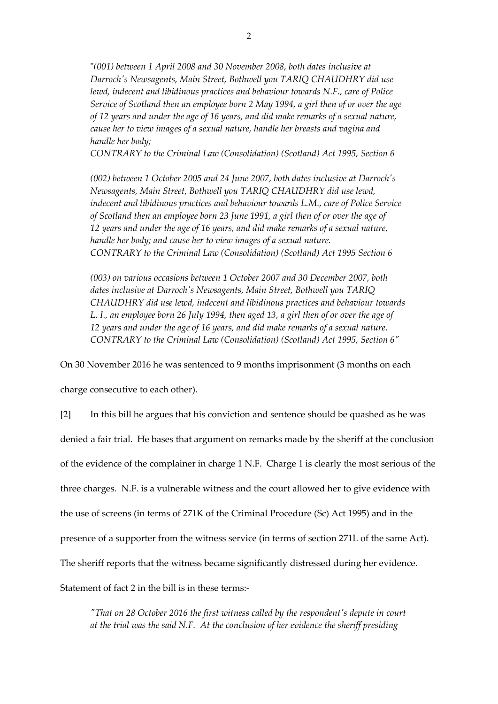"*(001) between 1 April 2008 and 30 November 2008, both dates inclusive at Darroch's Newsagents, Main Street, Bothwell you TARIQ CHAUDHRY did use lewd, indecent and libidinous practices and behaviour towards N.F., care of Police Service of Scotland then an employee born 2 May 1994, a girl then of or over the age of 12 years and under the age of 16 years, and did make remarks of a sexual nature, cause her to view images of a sexual nature, handle her breasts and vagina and handle her body;*

*CONTRARY to the Criminal Law (Consolidation) (Scotland) Act 1995, Section 6*

*(002) between 1 October 2005 and 24 June 2007, both dates inclusive at Darroch's Newsagents, Main Street, Bothwell you TARIQ CHAUDHRY did use lewd, indecent and libidinous practices and behaviour towards L.M., care of Police Service of Scotland then an employee born 23 June 1991, a girl then of or over the age of 12 years and under the age of 16 years, and did make remarks of a sexual nature, handle her body; and cause her to view images of a sexual nature. CONTRARY to the Criminal Law (Consolidation) (Scotland) Act 1995 Section 6*

*(003) on various occasions between 1 October 2007 and 30 December 2007, both dates inclusive at Darroch's Newsagents, Main Street, Bothwell you TARIQ CHAUDHRY did use lewd, indecent and libidinous practices and behaviour towards L. I., an employee born 26 July 1994, then aged 13, a girl then of or over the age of 12 years and under the age of 16 years, and did make remarks of a sexual nature. CONTRARY to the Criminal Law (Consolidation) (Scotland) Act 1995, Section 6"*

On 30 November 2016 he was sentenced to 9 months imprisonment (3 months on each

charge consecutive to each other).

[2] In this bill he argues that his conviction and sentence should be quashed as he was denied a fair trial. He bases that argument on remarks made by the sheriff at the conclusion of the evidence of the complainer in charge 1 N.F. Charge 1 is clearly the most serious of the three charges. N.F. is a vulnerable witness and the court allowed her to give evidence with the use of screens (in terms of 271K of the Criminal Procedure (Sc) Act 1995) and in the presence of a supporter from the witness service (in terms of section 271L of the same Act). The sheriff reports that the witness became significantly distressed during her evidence. Statement of fact 2 in the bill is in these terms:-

*"That on 28 October 2016 the first witness called by the respondent's depute in court at the trial was the said N.F. At the conclusion of her evidence the sheriff presiding*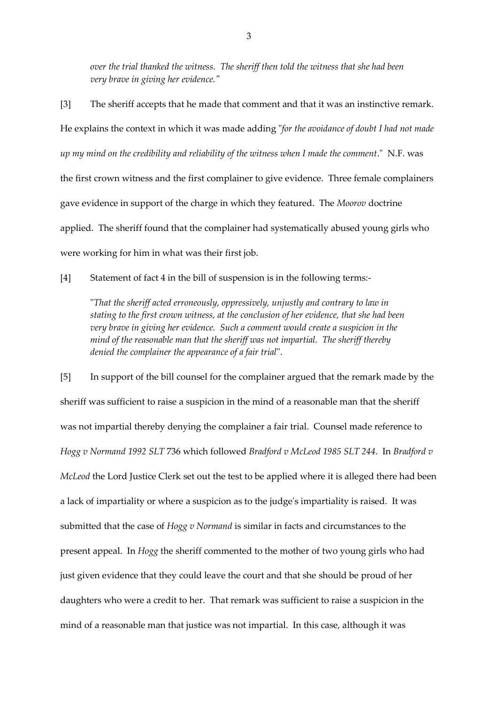*over the trial thanked the witness. The sheriff then told the witness that she had been very brave in giving her evidence."*

[3] The sheriff accepts that he made that comment and that it was an instinctive remark. He explains the context in which it was made adding "*for the avoidance of doubt I had not made up my mind on the credibility and reliability of the witness when I made the comment*." N.F. was the first crown witness and the first complainer to give evidence. Three female complainers gave evidence in support of the charge in which they featured. The *Moorov* doctrine applied. The sheriff found that the complainer had systematically abused young girls who were working for him in what was their first job.

[4] Statement of fact 4 in the bill of suspension is in the following terms:-

"*That the sheriff acted erroneously, oppressively, unjustly and contrary to law in stating to the first crown witness, at the conclusion of her evidence, that she had been very brave in giving her evidence. Such a comment would create a suspicion in the mind of the reasonable man that the sheriff was not impartial. The sheriff thereby denied the complainer the appearance of a fair trial*".

[5] In support of the bill counsel for the complainer argued that the remark made by the sheriff was sufficient to raise a suspicion in the mind of a reasonable man that the sheriff was not impartial thereby denying the complainer a fair trial. Counsel made reference to *Hogg v Normand 1992 SLT* 736 which followed *Bradford v McLeod 1985 SLT 244*. In *Bradford v McLeod* the Lord Justice Clerk set out the test to be applied where it is alleged there had been a lack of impartiality or where a suspicion as to the judge's impartiality is raised. It was submitted that the case of *Hogg v Normand* is similar in facts and circumstances to the present appeal. In *Hogg* the sheriff commented to the mother of two young girls who had just given evidence that they could leave the court and that she should be proud of her daughters who were a credit to her. That remark was sufficient to raise a suspicion in the mind of a reasonable man that justice was not impartial. In this case, although it was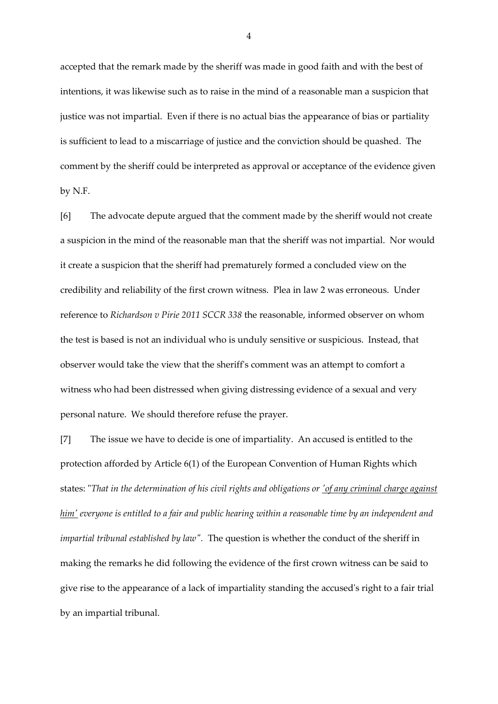accepted that the remark made by the sheriff was made in good faith and with the best of intentions, it was likewise such as to raise in the mind of a reasonable man a suspicion that justice was not impartial. Even if there is no actual bias the appearance of bias or partiality is sufficient to lead to a miscarriage of justice and the conviction should be quashed. The comment by the sheriff could be interpreted as approval or acceptance of the evidence given by N.F.

[6] The advocate depute argued that the comment made by the sheriff would not create a suspicion in the mind of the reasonable man that the sheriff was not impartial. Nor would it create a suspicion that the sheriff had prematurely formed a concluded view on the credibility and reliability of the first crown witness. Plea in law 2 was erroneous. Under reference to *Richardson v Pirie 2011 SCCR 338* the reasonable, informed observer on whom the test is based is not an individual who is unduly sensitive or suspicious. Instead, that observer would take the view that the sheriff's comment was an attempt to comfort a witness who had been distressed when giving distressing evidence of a sexual and very personal nature. We should therefore refuse the prayer.

[7] The issue we have to decide is one of impartiality. An accused is entitled to the protection afforded by Article 6(1) of the European Convention of Human Rights which states: "*That in the determination of his civil rights and obligations or 'of any criminal charge against him' everyone is entitled to a fair and public hearing within a reasonable time by an independent and impartial tribunal established by law".* The question is whether the conduct of the sheriff in making the remarks he did following the evidence of the first crown witness can be said to give rise to the appearance of a lack of impartiality standing the accused's right to a fair trial by an impartial tribunal.

4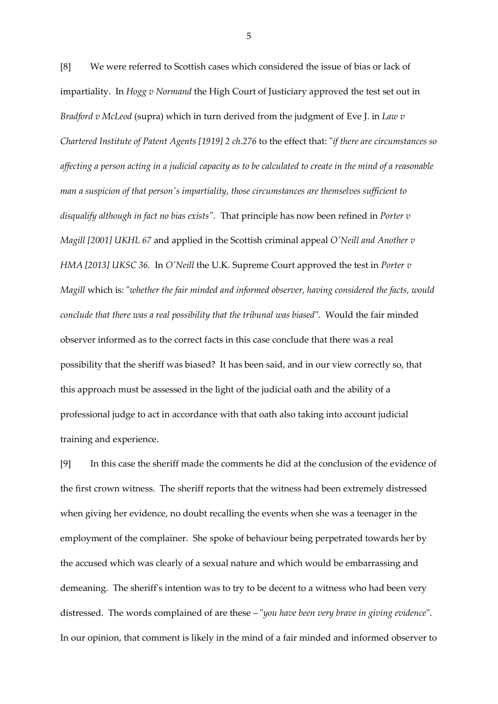[8] We were referred to Scottish cases which considered the issue of bias or lack of impartiality. In *Hogg v Normand* the High Court of Justiciary approved the test set out in *Bradford v McLeod* (supra) which in turn derived from the judgment of Eve J. in *Law v Chartered Institute of Patent Agents [1919] 2 ch.276* to the effect that: "*if there are circumstances so affecting a person acting in a judicial capacity as to be calculated to create in the mind of a reasonable man a suspicion of that person's impartiality, those circumstances are themselves sufficient to disqualify although in fact no bias exists".* That principle has now been refined in *Porter v Magill [2001] UKHL 67* and applied in the Scottish criminal appeal *O'Neill and Another v HMA [2013] UKSC 36.* In *O'Neill* the U.K. Supreme Court approved the test in *Porter v Magill* which is: "*whether the fair minded and informed observer, having considered the facts, would conclude that there was a real possibility that the tribunal was biased*". Would the fair minded observer informed as to the correct facts in this case conclude that there was a real possibility that the sheriff was biased? It has been said, and in our view correctly so, that this approach must be assessed in the light of the judicial oath and the ability of a professional judge to act in accordance with that oath also taking into account judicial training and experience.

[9] In this case the sheriff made the comments he did at the conclusion of the evidence of the first crown witness. The sheriff reports that the witness had been extremely distressed when giving her evidence, no doubt recalling the events when she was a teenager in the employment of the complainer. She spoke of behaviour being perpetrated towards her by the accused which was clearly of a sexual nature and which would be embarrassing and demeaning. The sheriff's intention was to try to be decent to a witness who had been very distressed. The words complained of are these – "*you have been very brave in giving evidence*". In our opinion, that comment is likely in the mind of a fair minded and informed observer to

5